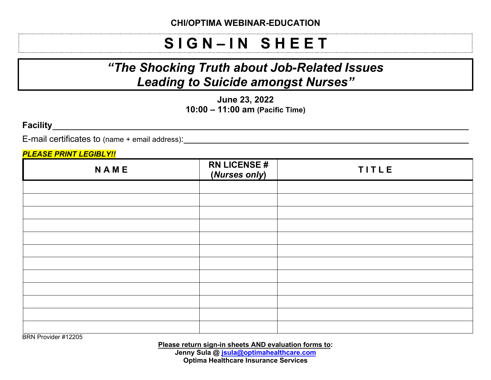# **S I G N – I N S H E E T**

## *"The Shocking Truth about Job-Related Issues Leading to Suicide amongst Nurses"*

**June 23, 2022 10:00 – 11:00 am (Pacific Time)**

**Facility**

E-mail certificates to (name + email address):

*PLEASE PRINT LEGIBLY!!*

| <b>NAME</b> | <b>RN LICENSE#</b><br>(Nurses only) | <b>TITLE</b> |
|-------------|-------------------------------------|--------------|
|             |                                     |              |
|             |                                     |              |
|             |                                     |              |
|             |                                     |              |
|             |                                     |              |
|             |                                     |              |
|             |                                     |              |
|             |                                     |              |
|             |                                     |              |
|             |                                     |              |
|             |                                     |              |
|             |                                     |              |

BRN Provider #12205

**Please return sign-in sheets AND evaluation forms to: Jenny Sula @ [jsula@optimahealthcare.com](mailto:jsula@optimahealthcare.com)**

**Optima Healthcare Insurance Services**